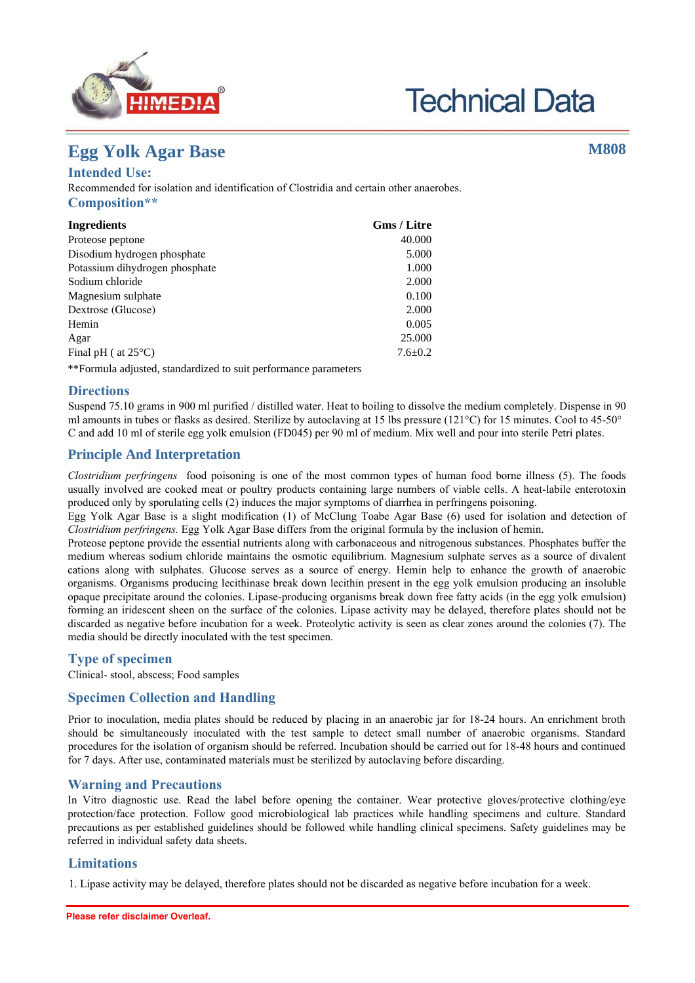



# **Egg Yolk Agar Base**

## **Intended Use:**

Recommended for isolation and identification of Clostridia and certain other anaerobes. **Composition\*\***

| <b>Ingredients</b>             | <b>Gms / Litre</b> |
|--------------------------------|--------------------|
| Proteose peptone               | 40.000             |
| Disodium hydrogen phosphate    | 5.000              |
| Potassium dihydrogen phosphate | 1.000              |
| Sodium chloride                | 2.000              |
| Magnesium sulphate             | 0.100              |
| Dextrose (Glucose)             | 2.000              |
| Hemin                          | 0.005              |
| Agar                           | 25,000             |
| Final pH ( $at 25^{\circ}$ C)  | $7.6 \pm 0.2$      |

\*\*Formula adjusted, standardized to suit performance parameters

### **Directions**

Suspend 75.10 grams in 900 ml purified/distilled water. Heat to boiling to dissolve the medium completely. Dispense 90 ml amounts in tubes or flasks as desired. Sterilize by autoclaving at 15 lbs pressure (121 $\degree$ C) for 15 minutes. Cool to 45-50 $\degree$ C and add 10 ml of sterile egg yolk emulsion (FD045) per 90 ml of medium. Mix well and pour into sterile Petri plates.

# **Principle And Interpretation**

*Clostridium perfringens* food poisoning is one of the most common types of human food borne illness (1). The foods usually involved are cooked meat or poultry products containing large numbers of viable cells. A heat-labile enterotoxin produced only by sporulating cells (2) induces the major symptoms of diarrhea in perfringens poisoning.

Egg Yolk Agar Base is a slight modification (3) of McClung Toabe Agar Base (4) used for isolation and detection of *Clostridium perfringens.* Egg Yolk Agar Base differs from the original formula by the inclusion of hemin.

Proteose peptone provide the essential nutrients along with carbonaceous and nitrogenous substances. Phosphates buffer the medium whereas sodium chloride maintains the osmotic equilibrium. Magnesium sulphate serves as a source of divalent cations along with sulphates. Glucose serves as a source of energy. Hemin help to enhance the growth of anaerobic organisms. Organisms producing lecithinase break down lecithin present in the egg yolk emulsion producing an insoluble opaque precipitate around the colonies. Lipase-producing organisms break down free fatty acids (in the egg yolk emulsion) forming an iridescent sheen on the surface of the colonies. Lipase activity may be delayed, therefore plates should not be discarded as negative before incubation for a week. Proteolytic activity is seen as clear zones around the colonies (5). The media should be directly inoculated with the test specimen.

### **Type of specimen**

Clinical- stool, abscess; Food samples

# **Specimen Collection and Handling**

Prior to inoculation, media plates should be reduced by placing in an anaerobic jar for 18-24 hours. An enrichment broth should be simultaneously inoculated with the test sample to detect small number of anaerobic organisms. Standard procedures for the isolation of organism should be referred. Incubation should be carried out for 18-48 hours and continued for 7 days. After use, contaminated materials must be sterilized by autoclaving before discarding.

### **Warning and Precautions**

In Vitro diagnostic use. For professional use only. Read the label before opening the container. Wear protective gloves/protective clothing/eye protection/face protection. Follow good microbiological lab practices while handling specimens and culture. Standard precautions as per established guidelines should be followed while handling clinical specimens. Safety guidelines may be referred in individual safety data sheets.

# **Limitations**

1. Lipase activity may be delayed, therefore plates should not be discarded as negative before incubation for a week.

**M808**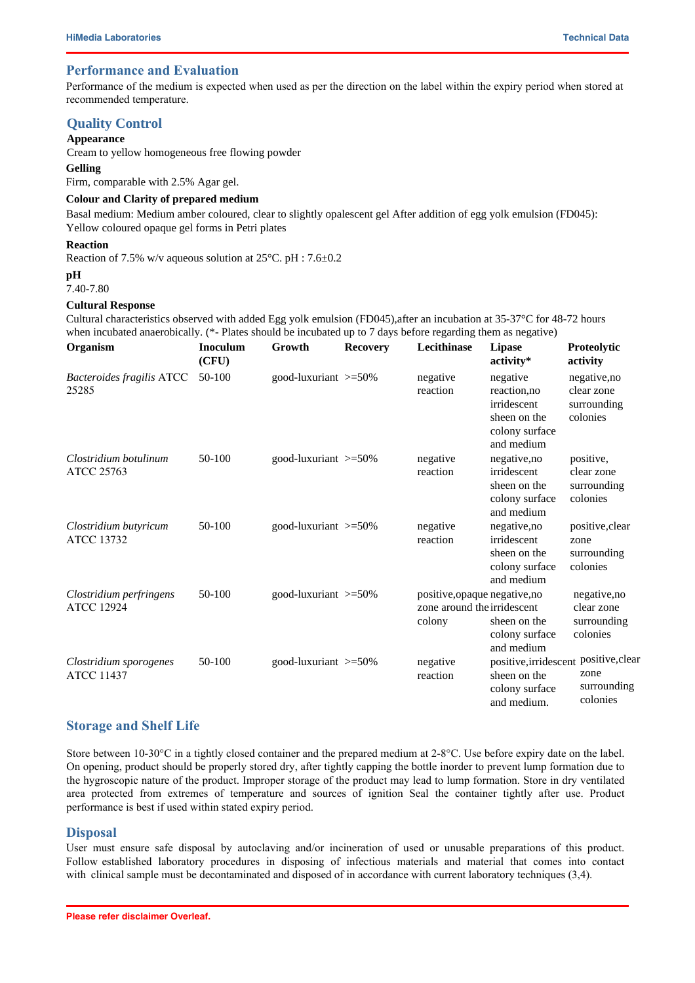### **Performance and Evaluation**

Performance of the medium is expected when used as per the direction on the label within the expiry period when stored at recommended temperature.

### **Quality Control**

#### **Appearance**

Cream to yellow homogeneous free flowing powder

**Gelling**

Firm, comparable with 2.5% Agar gel.

#### **Colour and Clarity of prepared medium**

Basal medium: Medium amber coloured, clear to slightly opalescent gel After addition of egg yolk emulsion (FD045): Yellow coloured opaque gel forms in Petri plates

#### **Reaction**

Reaction of 7.5% w/v aqueous solution at 25°C. pH : 7.6±0.2

# **pH**

7.40-7.80

#### **Cultural Response**

Cultural characteristics observed with added Egg yolk emulsion (FD045),after an incubation at 35-37°C for 48-72 hours when incubated anaerobically. (\*- Plates should be incubated up to 7 days before regarding them as negative)

| Organism                                     | <b>Inoculum</b><br>(CFU) | Growth                     | <b>Recovery</b> | Lecithinase                                                            | <b>Lipase</b><br>activity*                                                              | Proteolytic<br>activity                               |
|----------------------------------------------|--------------------------|----------------------------|-----------------|------------------------------------------------------------------------|-----------------------------------------------------------------------------------------|-------------------------------------------------------|
| Bacteroides fragilis ATCC<br>25285           | 50-100                   | good-luxuriant $>=50\%$    |                 | negative<br>reaction                                                   | negative<br>reaction, no<br>irridescent<br>sheen on the<br>colony surface<br>and medium | negative, no<br>clear zone<br>surrounding<br>colonies |
| Clostridium botulinum<br><b>ATCC 25763</b>   | $50-100$                 | good-luxuriant $>=50\%$    |                 | negative<br>reaction                                                   | negative, no<br>irridescent<br>sheen on the<br>colony surface<br>and medium             | positive,<br>clear zone<br>surrounding<br>colonies    |
| Clostridium butyricum<br><b>ATCC 13732</b>   | 50-100                   | good-luxuriant $\geq 50\%$ |                 | negative<br>reaction                                                   | negative, no<br>irridescent<br>sheen on the<br>colony surface<br>and medium             | positive, clear<br>zone<br>surrounding<br>colonies    |
| Clostridium perfringens<br><b>ATCC 12924</b> | 50-100                   | good-luxuriant >=50%       |                 | positive, opaque negative, no<br>zone around the irridescent<br>colony | sheen on the<br>colony surface<br>and medium                                            | negative,no<br>clear zone<br>surrounding<br>colonies  |
| Clostridium sporogenes<br><b>ATCC 11437</b>  | 50-100                   | good-luxuriant >=50%       |                 | negative<br>reaction                                                   | positive, irridescent<br>sheen on the<br>colony surface<br>and medium.                  | positive, clear<br>zone<br>surrounding<br>colonies    |

### **Storage and Shelf Life**

Store between  $10\text{-}30\text{°C}$  in a tightly closed container and the prepared medium at  $2\text{-}8\text{°C}$ . Use before expiry date on the label. On opening, product should be properly stored dry, after tightly capping the bottle inorder to prevent lump formation due to the hygroscopic nature of the product. Improper storage of the product may lead to lump formation. Store in dry ventilated area protected from extremes of temperature and sources of ignition Seal the container tightly after use. Product performance is best if used within stated expiry period.

#### **Disposal**

User must ensure safe disposal by autoclaving and/or incineration of used or unusable preparations of this product. Follow established laboratory procedures in disposing of infectious materials and material that comes into contact with clinical sample must be decontaminated and disposed of in accordance with current laboratory techniques (6,7).